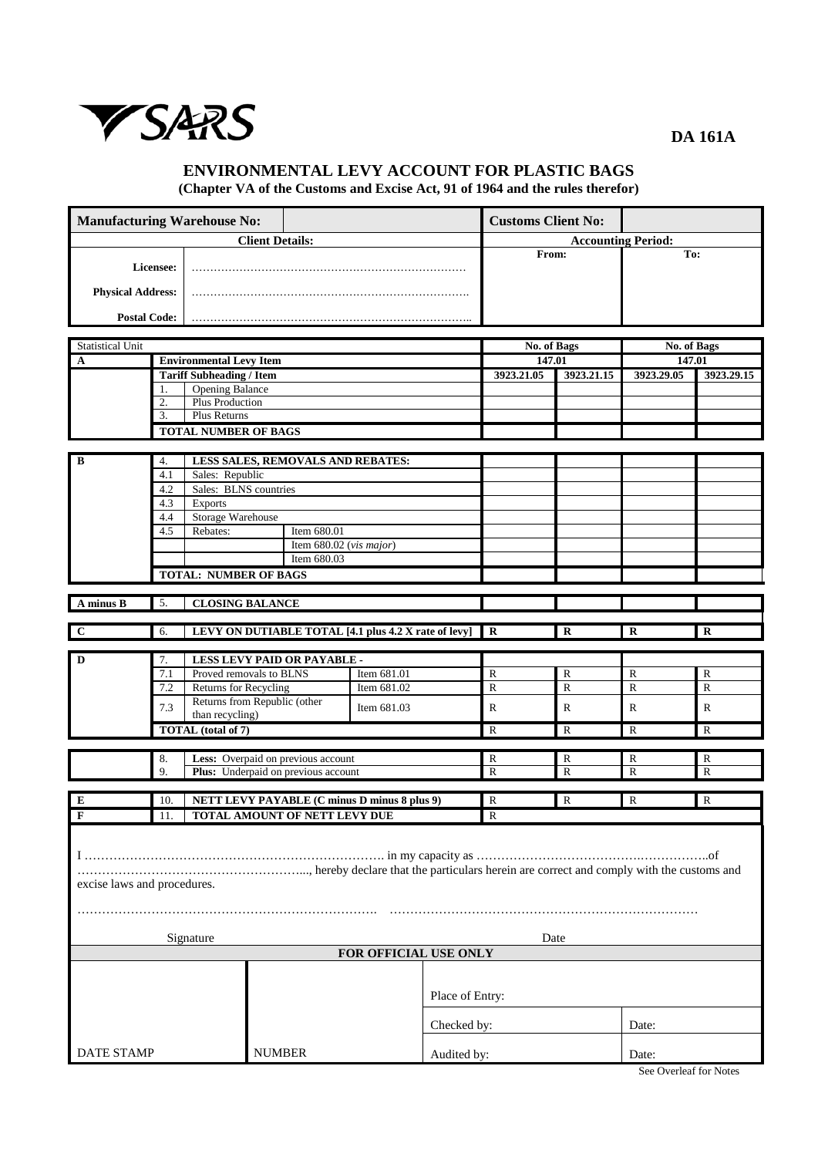

**DA 161A**

## **ENVIRONMENTAL LEVY ACCOUNT FOR PLASTIC BAGS (Chapter VA of the Customs and Excise Act, 91 of 1964 and the rules therefor)**

| <b>Manufacturing Warehouse No:</b> |     |                                                                                    |                                                      | <b>Customs Client No:</b> |             |                       |                           |                       |              |
|------------------------------------|-----|------------------------------------------------------------------------------------|------------------------------------------------------|---------------------------|-------------|-----------------------|---------------------------|-----------------------|--------------|
|                                    |     |                                                                                    | <b>Client Details:</b>                               |                           |             |                       | <b>Accounting Period:</b> |                       |              |
| Licensee:                          |     |                                                                                    |                                                      |                           |             | From:                 |                           | To:                   |              |
| <b>Physical Address:</b>           |     |                                                                                    |                                                      |                           |             |                       |                           |                       |              |
| <b>Postal Code:</b>                |     |                                                                                    |                                                      |                           |             |                       |                           |                       |              |
|                                    |     |                                                                                    |                                                      |                           |             |                       |                           |                       |              |
| <b>Statistical Unit</b>            |     |                                                                                    |                                                      |                           |             | No. of Bags<br>147.01 |                           | No. of Bags<br>147.01 |              |
| $\mathbf A$                        |     | <b>Environmental Levy Item</b>                                                     |                                                      |                           |             | 3923.21.05            |                           | 3923.29.05            |              |
|                                    | 1.  | <b>Tariff Subheading / Item</b><br><b>Opening Balance</b>                          |                                                      |                           |             |                       | 3923.21.15                |                       | 3923.29.15   |
|                                    | 2.  | Plus Production                                                                    |                                                      |                           |             |                       |                           |                       |              |
|                                    | 3.  | Plus Returns                                                                       |                                                      |                           |             |                       |                           |                       |              |
|                                    |     | <b>TOTAL NUMBER OF BAGS</b>                                                        |                                                      |                           |             |                       |                           |                       |              |
|                                    |     |                                                                                    |                                                      |                           |             |                       |                           |                       |              |
| B                                  | 4.  |                                                                                    | LESS SALES, REMOVALS AND REBATES:                    |                           |             |                       |                           |                       |              |
|                                    | 4.1 | Sales: Republic                                                                    |                                                      |                           |             |                       |                           |                       |              |
|                                    | 4.2 | Sales: BLNS countries                                                              |                                                      |                           |             |                       |                           |                       |              |
|                                    | 4.3 | <b>Exports</b>                                                                     |                                                      |                           |             |                       |                           |                       |              |
|                                    | 4.4 | <b>Storage Warehouse</b><br>Rebates:                                               |                                                      |                           |             |                       |                           |                       |              |
|                                    | 4.5 |                                                                                    | Item 680.01<br>Item $680.02$ (vis major)             |                           |             |                       |                           |                       |              |
|                                    |     |                                                                                    | Item 680.03                                          |                           |             |                       |                           |                       |              |
|                                    |     | <b>TOTAL: NUMBER OF BAGS</b>                                                       |                                                      |                           |             |                       |                           |                       |              |
|                                    |     |                                                                                    |                                                      |                           |             |                       |                           |                       |              |
| A minus B                          | 5.  | <b>CLOSING BALANCE</b>                                                             |                                                      |                           |             |                       |                           |                       |              |
|                                    |     |                                                                                    |                                                      |                           |             |                       |                           |                       |              |
| $\mathbf{C}$                       | 6.  |                                                                                    | LEVY ON DUTIABLE TOTAL [4.1 plus 4.2 X rate of levy] |                           |             | $\mathbf R$           | $\mathbf R$               | $\mathbf R$           | $\mathbf R$  |
| D                                  | 7.  |                                                                                    | LESS LEVY PAID OR PAYABLE -                          |                           |             |                       |                           |                       |              |
|                                    | 7.1 |                                                                                    | Proved removals to BLNS                              | Item 681.01               |             | $\mathbb{R}$          | $\mathbb{R}$              | $\mathbb{R}$          | $\mathbb{R}$ |
|                                    | 7.2 | Returns for Recycling                                                              |                                                      | Item 681.02               |             | $\mathbf R$           | $\mathbf R$               | $\mathbf R$           | ${\bf R}$    |
|                                    | 7.3 |                                                                                    | Returns from Republic (other                         | Item 681.03               |             | $\mathbb{R}$          | ${\bf R}$                 | $\mathbf R$           | $\mathbb{R}$ |
|                                    |     | than recycling)                                                                    |                                                      |                           |             |                       |                           |                       |              |
|                                    |     | TOTAL (total of 7)<br>$\mathbb{R}$<br>$\mathbb{R}$<br>$\mathbb{R}$<br>$\mathbb{R}$ |                                                      |                           |             |                       |                           |                       |              |
|                                    | 8.  |                                                                                    | Less: Overpaid on previous account                   |                           |             | R                     | R                         | R                     | R            |
|                                    | 9.  |                                                                                    | Plus: Underpaid on previous account                  |                           |             | $\mathbb{R}$          | $\mathbf R$               | $\mathbf R$           | $\mathbb{R}$ |
|                                    |     |                                                                                    |                                                      |                           |             |                       |                           |                       |              |
| E                                  | 10. |                                                                                    | NETT LEVY PAYABLE (C minus D minus 8 plus 9)         |                           |             | R                     | $\mathbb{R}$              | $\mathbb{R}$          | $\mathbb{R}$ |
| $\mathbf{F}$                       | 11. |                                                                                    | TOTAL AMOUNT OF NETT LEVY DUE                        |                           |             | R                     |                           |                       |              |
|                                    |     |                                                                                    |                                                      |                           |             |                       |                           |                       |              |
|                                    |     |                                                                                    |                                                      |                           |             |                       |                           |                       |              |
|                                    |     |                                                                                    |                                                      |                           |             |                       |                           |                       |              |
| excise laws and procedures.        |     |                                                                                    |                                                      |                           |             |                       |                           |                       |              |
|                                    |     |                                                                                    |                                                      |                           |             |                       |                           |                       |              |
|                                    |     |                                                                                    |                                                      |                           |             |                       |                           |                       |              |
|                                    |     |                                                                                    |                                                      |                           |             |                       |                           |                       |              |
|                                    |     | Signature                                                                          |                                                      | FOR OFFICIAL USE ONLY     |             | Date                  |                           |                       |              |
|                                    |     |                                                                                    |                                                      |                           |             |                       |                           |                       |              |
|                                    |     |                                                                                    |                                                      |                           |             |                       |                           |                       |              |
|                                    |     |                                                                                    |                                                      | Place of Entry:           |             |                       |                           |                       |              |
|                                    |     |                                                                                    |                                                      |                           |             |                       |                           |                       |              |
|                                    |     |                                                                                    |                                                      |                           | Checked by: |                       |                           | Date:                 |              |
|                                    |     |                                                                                    |                                                      |                           |             |                       |                           |                       |              |
| <b>DATE STAMP</b>                  |     |                                                                                    | <b>NUMBER</b>                                        |                           | Audited by: |                       | Date:                     |                       |              |